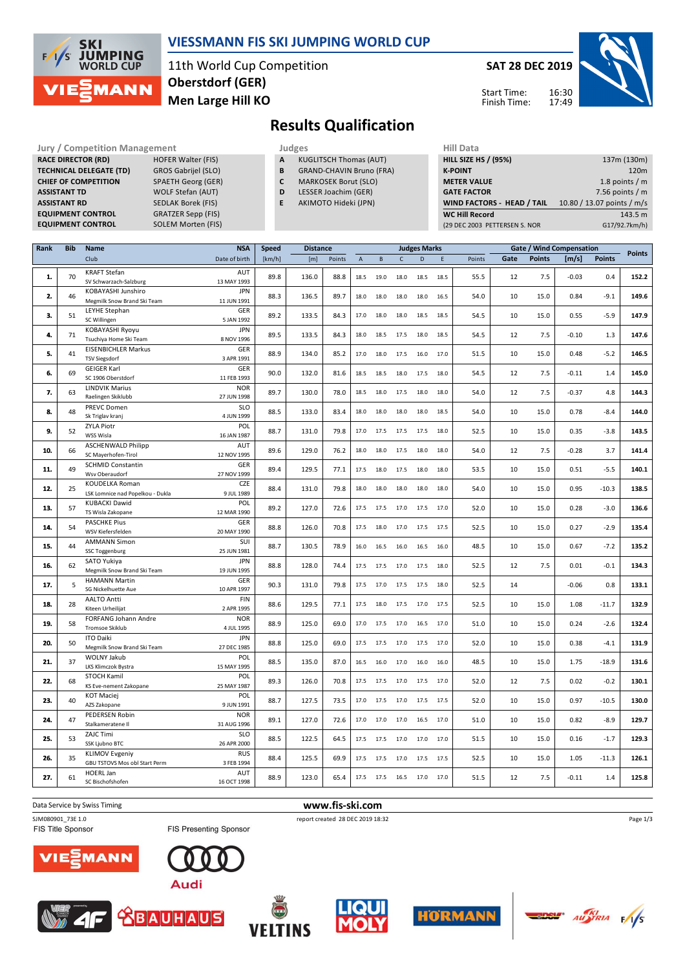

## **VIESSMANN FIS SKI JUMPING WORLD CUP**

11th World Cup Competition **Men Large Hill KO Oberstdorf (GER)**

**SAT 28 DEC 2019**

Start Time: Finish Time:



## **Results Qualification**

**Jury / Competition Management Judges** Hill Data Hill Data Hill Data Hill Data **RACE DIRECTOR (RD) HOFER Walter (FIS) TECHNICAL DELEGATE (TD)** GROS Gabrijel (SLO) **CHIEF OF COMPETITION** SPAETH Georg (GER) **ASSISTANT TD** WOLF Stefan (AUT) **ASSISTANT RD** SEDLAK Borek (FIS) **EQUIPMENT CONTROL** GRATZER Sepp (FIS) **EQUIPMENT CONTROL** SOLEM Morten (FIS)

- **A** KUGLITSCH Thomas (AUT) **B** GRAND-CHAVIN Bruno (FRA)
- **C** MARKOSEK Borut (SLO)
- **D** LESSER Joachim (GER)
- **E** AKIMOTO Hideki (JPN)

| ັ່ | 111212111117222         |
|----|-------------------------|
|    | <b>GATE FACTOR</b>      |
| J) | <b>WIND FACTORS - H</b> |
|    |                         |

| <b>HILL SIZE HS / (95%)</b>   | 137m (130m)                |
|-------------------------------|----------------------------|
| <b>K-POINT</b>                | 120 <sub>m</sub>           |
| <b>METER VALUE</b>            | 1.8 points $/m$            |
| <b>GATE FACTOR</b>            | 7.56 points $/m$           |
| WIND FACTORS - HEAD / TAIL    | 10.80 / 13.07 points / m/s |
| <b>WC Hill Record</b>         | 143.5 m                    |
| (29 DEC 2003 PETTERSEN S. NOR | G17/92.7km/h)              |

| Rank | <b>Bib</b> | Name                                                   | <b>NSA</b>                | <b>Speed</b><br><b>Distance</b> |       |        |                |      |              | <b>Judges Marks</b> |      |        |      |               | Gate / Wind Compensation |               | <b>Points</b> |
|------|------------|--------------------------------------------------------|---------------------------|---------------------------------|-------|--------|----------------|------|--------------|---------------------|------|--------|------|---------------|--------------------------|---------------|---------------|
|      |            | Club                                                   | Date of birth             | [km/h]                          | [m]   | Points | $\overline{A}$ | B    | $\mathsf{C}$ | D                   | E    | Points | Gate | <b>Points</b> | [m/s]                    | <b>Points</b> |               |
| 1.   | 70         | <b>KRAFT Stefan</b><br>SV Schwarzach-Salzburg          | AUT<br>13 MAY 1993        | 89.8                            | 136.0 | 88.8   | 18.5           | 19.0 | 18.0         | 18.5                | 18.5 | 55.5   | 12   | 7.5           | $-0.03$                  | 0.4           | 152.2         |
| 2.   | 46         | KOBAYASHI Junshiro<br>Megmilk Snow Brand Ski Team      | <b>JPN</b><br>11 JUN 1991 | 88.3                            | 136.5 | 89.7   | 18.0           | 18.0 | 18.0         | 18.0                | 16.5 | 54.0   | 10   | 15.0          | 0.84                     | $-9.1$        | 149.6         |
|      |            | LEYHE Stephan                                          | GER                       |                                 |       |        |                |      |              |                     |      |        |      |               |                          |               |               |
| 3.   | 51         | SC Willingen                                           | 5 JAN 1992                | 89.2                            | 133.5 | 84.3   | 17.0           | 18.0 | 18.0         | 18.5                | 18.5 | 54.5   | 10   | 15.0          | 0.55                     | $-5.9$        | 147.9         |
| 4.   | 71         | KOBAYASHI Ryoyu<br>Tsuchiya Home Ski Team              | <b>JPN</b><br>8 NOV 1996  | 89.5                            | 133.5 | 84.3   | 18.0           | 18.5 | 17.5         | 18.0                | 18.5 | 54.5   | 12   | 7.5           | $-0.10$                  | 1.3           | 147.6         |
| 5.   | 41         | <b>EISENBICHLER Markus</b><br><b>TSV Siegsdorf</b>     | GER<br>3 APR 1991         | 88.9                            | 134.0 | 85.2   | 17.0           | 18.0 | 17.5         | 16.0                | 17.0 | 51.5   | 10   | 15.0          | 0.48                     | $-5.2$        | 146.5         |
| 6.   | 69         | <b>GEIGER Karl</b><br>SC 1906 Oberstdorf               | GER<br>11 FEB 1993        | 90.0                            | 132.0 | 81.6   | 18.5           | 18.5 | 18.0         | 17.5                | 18.0 | 54.5   | 12   | 7.5           | $-0.11$                  | 1.4           | 145.0         |
| 7.   | 63         | <b>LINDVIK Marius</b><br>Raelingen Skiklubb            | <b>NOR</b><br>27 JUN 1998 | 89.7                            | 130.0 | 78.0   | 18.5           | 18.0 | 17.5         | 18.0                | 18.0 | 54.0   | 12   | 7.5           | $-0.37$                  | 4.8           | 144.3         |
| 8.   | 48         | <b>PREVC Domen</b><br>Sk Triglav kranj                 | <b>SLO</b><br>4 JUN 1999  | 88.5                            | 133.0 | 83.4   | 18.0           | 18.0 | 18.0         | 18.0                | 18.5 | 54.0   | 10   | 15.0          | 0.78                     | $-8.4$        | 144.0         |
|      |            | <b>ZYLA Piotr</b>                                      | POL                       |                                 |       |        |                |      |              |                     |      |        |      |               |                          |               |               |
| 9.   | 52         | WSS Wisla                                              | 16 JAN 1987               | 88.7                            | 131.0 | 79.8   | 17.0           | 17.5 | 17.5         | 17.5                | 18.0 | 52.5   | 10   | 15.0          | 0.35                     | $-3.8$        | 143.5         |
| 10.  | 66         | <b>ASCHENWALD Philipp</b><br>SC Mayerhofen-Tirol       | AUT<br>12 NOV 1995        | 89.6                            | 129.0 | 76.2   | 18.0           | 18.0 | 17.5         | 18.0                | 18.0 | 54.0   | 12   | 7.5           | $-0.28$                  | 3.7           | 141.4         |
| 11.  | 49         | <b>SCHMID Constantin</b><br>Wsv Oberaudorf             | GER<br>27 NOV 1999        | 89.4                            | 129.5 | 77.1   | 17.5           | 18.0 | 17.5         | 18.0                | 18.0 | 53.5   | 10   | 15.0          | 0.51                     | $-5.5$        | 140.1         |
| 12.  | 25         | KOUDELKA Roman<br>LSK Lomnice nad Popelkou - Dukla     | <b>CZE</b><br>9 JUL 1989  | 88.4                            | 131.0 | 79.8   | 18.0           | 18.0 | 18.0         | 18.0                | 18.0 | 54.0   | 10   | 15.0          | 0.95                     | $-10.3$       | 138.5         |
| 13.  | 57         | <b>KUBACKI Dawid</b><br>TS Wisla Zakopane              | POL<br>12 MAR 1990        | 89.2                            | 127.0 | 72.6   | 17.5           | 17.5 | 17.0         | 17.5                | 17.0 | 52.0   | 10   | 15.0          | 0.28                     | $-3.0$        | 136.6         |
| 14.  | 54         | <b>PASCHKE Pius</b><br>WSV Kiefersfelden               | GER<br>20 MAY 1990        | 88.8                            | 126.0 | 70.8   | 17.5           | 18.0 | 17.0         | 17.5                | 17.5 | 52.5   | 10   | 15.0          | 0.27                     | $-2.9$        | 135.4         |
| 15.  | 44         | <b>AMMANN Simon</b><br>SSC Toggenburg                  | SUI<br>25 JUN 1981        | 88.7                            | 130.5 | 78.9   | 16.0           | 16.5 | 16.0         | 16.5                | 16.0 | 48.5   | 10   | 15.0          | 0.67                     | $-7.2$        | 135.2         |
| 16.  | 62         | SATO Yukiya<br>Megmilk Snow Brand Ski Team             | <b>JPN</b><br>19 JUN 1995 | 88.8                            | 128.0 | 74.4   | 17.5           | 17.5 | 17.0         | 17.5                | 18.0 | 52.5   | 12   | 7.5           | 0.01                     | $-0.1$        | 134.3         |
| 17.  | 5          | <b>HAMANN Martin</b><br>SG Nickelhuette Aue            | GER<br>10 APR 1997        | 90.3                            | 131.0 | 79.8   | 17.5           | 17.0 | 17.5         | 17.5                | 18.0 | 52.5   | 14   |               | $-0.06$                  | 0.8           | 133.1         |
| 18.  | 28         | <b>AALTO Antti</b><br>Kiteen Urheilijat                | FIN<br>2 APR 1995         | 88.6                            | 129.5 | 77.1   | 17.5           | 18.0 | 17.5         | 17.0                | 17.5 | 52.5   | 10   | 15.0          | 1.08                     | $-11.7$       | 132.9         |
| 19.  | 58         | FORFANG Johann Andre<br><b>Tromsoe Skiklub</b>         | <b>NOR</b><br>4 JUL 1995  | 88.9                            | 125.0 | 69.0   | 17.0           | 17.5 | 17.0         | 16.5                | 17.0 | 51.0   | 10   | 15.0          | 0.24                     | $-2.6$        | 132.4         |
| 20.  | 50         | <b>ITO Daiki</b><br>Megmilk Snow Brand Ski Team        | <b>JPN</b><br>27 DEC 1985 | 88.8                            | 125.0 | 69.0   | 17.5           | 17.5 | 17.0         | 17.5                | 17.0 | 52.0   | 10   | 15.0          | 0.38                     | $-4.1$        | 131.9         |
| 21.  | 37         | <b>WOLNY Jakub</b><br>LKS Klimczok Bystra              | POL<br>15 MAY 1995        | 88.5                            | 135.0 | 87.0   | 16.5           | 16.0 | 17.0         | 16.0                | 16.0 | 48.5   | 10   | 15.0          | 1.75                     | $-18.9$       | 131.6         |
| 22.  | 68         | STOCH Kamil<br>KS Eve-nement Zakopane                  | POL<br>25 MAY 1987        | 89.3                            | 126.0 | 70.8   | 17.5           | 17.5 | 17.0         | 17.5                | 17.0 | 52.0   | 12   | 7.5           | 0.02                     | $-0.2$        | 130.1         |
| 23.  | 40         | <b>KOT Maciej</b><br>AZS Zakopane                      | POL<br>9 JUN 1991         | 88.7                            | 127.5 | 73.5   | 17.0           | 17.5 | 17.0         | 17.5                | 17.5 | 52.0   | 10   | 15.0          | 0.97                     | $-10.5$       | 130.0         |
| 24.  | 47         | <b>PEDERSEN Robin</b><br>Stalkameratene II             | <b>NOR</b><br>31 AUG 1996 | 89.1                            | 127.0 | 72.6   | 17.0           | 17.0 | 17.0         | 16.5                | 17.0 | 51.0   | 10   | 15.0          | 0.82                     | $-8.9$        | 129.7         |
| 25.  | 53         | ZAJC Timi<br>SSK Ljubno BTC                            | <b>SLO</b><br>26 APR 2000 | 88.5                            | 122.5 | 64.5   | 17.5           | 17.5 | 17.0         | 17.0                | 17.0 | 51.5   | 10   | 15.0          | 0.16                     | $-1.7$        | 129.3         |
| 26.  | 35         | <b>KLIMOV Evgeniy</b><br>GBU TSTOVS Mos obl Start Perm | <b>RUS</b><br>3 FEB 1994  | 88.4                            | 125.5 | 69.9   | 17.5           | 17.5 | 17.0         | 17.5                | 17.5 | 52.5   | 10   | 15.0          | 1.05                     | $-11.3$       | 126.1         |
| 27.  | 61         | HOERL Jan<br>SC Bischofshofen                          | AUT<br>16 OCT 1998        | 88.9                            | 123.0 | 65.4   | 17.5           | 17.5 | 16.5         | 17.0                | 17.0 | 51.5   | 12   | 7.5           | $-0.11$                  | 1.4           | 125.8         |
|      |            |                                                        |                           |                                 |       |        |                |      |              |                     |      |        |      |               |                          |               |               |

FIS Title Sponsor



Data Service by Swiss Timing **www.fis-ski.com** 

SJM080901\_73E 1.0 report created 28 DEC 2019 18:32





FIS Presenting Sponsor

**<u> XBAUHAUS</u>** 







Page 1/3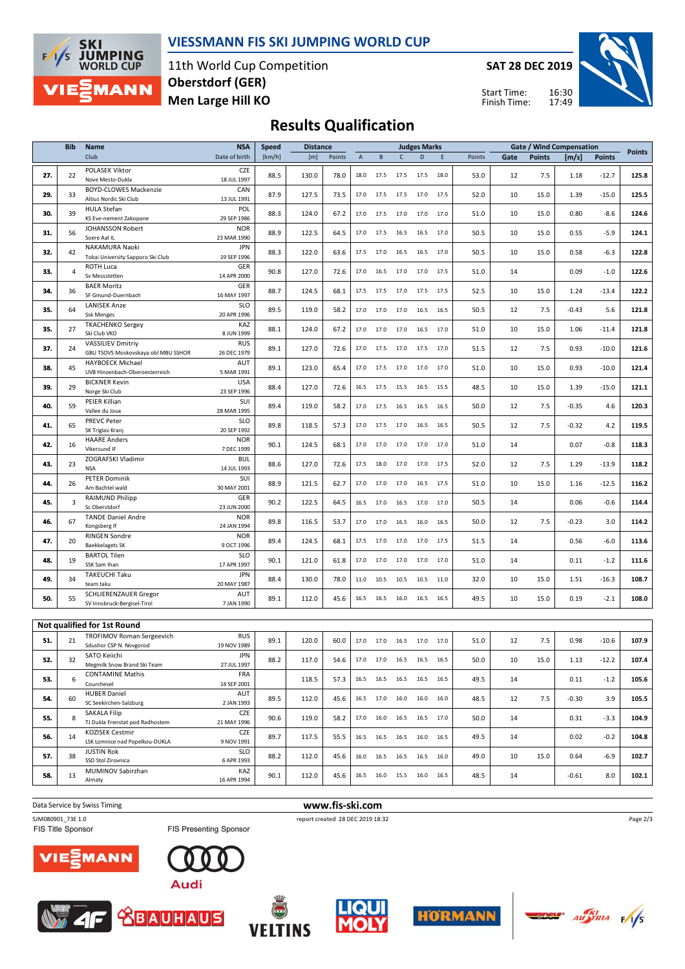

### **VIESSMANN FIS SKI JUMPING WORLD CUP**

11th World Cup Competition **Men Large Hill KO Oberstdorf (GER)**

**SAT 28 DEC 2019**





## **Results Qualification**

|     | <b>Bib</b><br>Name |                                                                 | <b>NSA</b>                        | <b>Speed</b> | <b>Distance</b> |        |                |                                                        |              | <b>Judges Marks</b> |      |        |      |               | <b>Gate / Wind Compensation</b> |               |               |
|-----|--------------------|-----------------------------------------------------------------|-----------------------------------|--------------|-----------------|--------|----------------|--------------------------------------------------------|--------------|---------------------|------|--------|------|---------------|---------------------------------|---------------|---------------|
|     |                    | Club                                                            | Date of birth                     | [km/h]       | [m]             | Points | $\overline{A}$ | $\, {\bf B}$                                           | $\mathsf{C}$ | D                   | E    | Points | Gate | <b>Points</b> | [m/s]                           | <b>Points</b> | <b>Points</b> |
| 27. | 22                 | POLASEK Viktor<br>Nove Mesto-Dukla                              | CZE<br>18 JUL 1997                | 88.5         | 130.0           | 78.0   | 18.0           | 17.5                                                   | 17.5         | 17.5                | 18.0 | 53.0   | 12   | 7.5           | 1.18                            | $-12.7$       | 125.8         |
| 29. | 33                 | <b>BOYD-CLOWES Mackenzie</b><br>Altius Nordic Ski Club          | CAN<br>13 JUL 1991                | 87.9         | 127.5           | 73.5   | 17.0           | 17.5                                                   | 17.5         | 17.0                | 17.5 | 52.0   | 10   | 15.0          | 1.39                            | $-15.0$       | 125.5         |
| 30. | 39                 | HULA Stefan<br>KS Eve-nement Zakopane                           | POL<br>29 SEP 1986                | 88.3         | 124.0           | 67.2   | 17.0           | 17.5                                                   | 17.0         | 17.0                | 17.0 | 51.0   | 10   | 15.0          | 0.80                            | $-8.6$        | 124.6         |
| 31. | 56                 | JOHANSSON Robert<br>Soere Aal IL                                | <b>NOR</b><br>23 MAR 1990         | 88.9         | 122.5           | 64.5   | 17.0           | 17.5                                                   | 16.5         | 16.5                | 17.0 | 50.5   | 10   | 15.0          | 0.55                            | $-5.9$        | 124.1         |
| 32. | 42                 | NAKAMURA Naoki<br>Tokai University Sapporo Ski Club             | <b>JPN</b><br>19 SEP 1996         | 88.3         | 122.0           | 63.6   | 17.5           | 17.0                                                   | 16.5         | 16.5                | 17.0 | 50.5   | 10   | 15.0          | 0.58                            | $-6.3$        | 122.8         |
| 33. | 4                  | ROTH Luca<br>Sv Messstetten                                     | GER<br>14 APR 2000                | 90.8         | 127.0           | 72.6   | 17.0           | 16.5                                                   | 17.0         | 17.0                | 17.5 | 51.0   | 14   |               | 0.09                            | $-1.0$        | 122.6         |
| 34. | 36                 | <b>BAER Moritz</b><br>SF Gmund-Duernbach                        | GER<br>16 MAY 1997                | 88.7         | 124.5           | 68.1   | 17.5           | 17.5                                                   | 17.0         | 17.5                | 17.5 | 52.5   | 10   | 15.0          | 1.24                            | $-13.4$       | 122.2         |
| 35. | 64                 | <b>LANISEK Anze</b><br><b>Ssk Menges</b>                        | <b>SLO</b><br>20 APR 1996         | 89.5         | 119.0           | 58.2   | 17.0           | 17.0                                                   | 17.0         | 16.5                | 16.5 | 50.5   | 12   | 7.5           | $-0.43$                         | 5.6           | 121.8         |
| 35. | 27                 | <b>TKACHENKO Sergey</b><br>Ski Club VKO                         | KAZ<br>8 JUN 1999                 | 88.1         | 124.0           | 67.2   | 17.0           | 17.0                                                   | 17.0         | 16.5                | 17.0 | 51.0   | 10   | 15.0          | 1.06                            | $-11.4$       | 121.8         |
| 37. | 24                 | <b>VASSILIEV Dmitriy</b><br>GBU TSOVS Moskovskaya obl MBU SSHOR | <b>RUS</b><br>26 DEC 1979         | 89.1         | 127.0           | 72.6   | 17.0           | 17.5                                                   | 17.0         | 17.5                | 17.0 | 51.5   | 12   | 7.5           | 0.93                            | $-10.0$       | 121.6         |
| 38. | 45                 | <b>HAYBOECK Michael</b><br>UVB Hinzenbach-Oberoesterreich       | AUT<br>5 MAR 1991                 | 89.1         | 123.0           | 65.4   | 17.0           | 17.5                                                   | 17.0         | 17.0                | 17.0 | 51.0   | 10   | 15.0          | 0.93                            | $-10.0$       | 121.4         |
| 39. | 29                 | <b>BICKNER Kevin</b><br>Norge Ski Club                          | <b>USA</b><br>23 SEP 1996         | 88.4         | 127.0           | 72.6   | 16.5           | 17.5                                                   | 15.5         | 16.5                | 15.5 | 48.5   | 10   | 15.0          | 1.39                            | $-15.0$       | 121.1         |
| 40. | 59                 | PEIER Killian<br>Vallee du Joux                                 | SUI<br>28 MAR 1995                | 89.4         | 119.0           | 58.2   | 17.0           | 17.5                                                   | 16.5         | 16.5                | 16.5 | 50.0   | 12   | 7.5           | $-0.35$                         | 4.6           | 120.3         |
| 41. | 65                 | PREVC Peter<br>SK Triglav Kranj                                 | <b>SLO</b><br>20 SEP 1992         | 89.8         | 118.5           | 57.3   | 17.0           | 17.5                                                   | 17.0         | 16.5                | 16.5 | 50.5   | 12   | 7.5           | $-0.32$                         | 4.2           | 119.5         |
| 42. | 16                 | <b>HAARE Anders</b><br>Vikersund IF                             | <b>NOR</b><br>7 DEC 1999          | 90.1         | 124.5           | 68.1   | 17.0           | 17.0                                                   | 17.0         | 17.0                | 17.0 | 51.0   | 14   |               | 0.07                            | $-0.8$        | 118.3         |
| 43. | 23                 | ZOGRAFSKI Vladimir<br><b>NSA</b>                                | <b>BUL</b><br>14 JUL 1993         | 88.6         | 127.0           | 72.6   | 17.5           | 18.0                                                   | 17.0         | 17.0                | 17.5 | 52.0   | 12   | 7.5           | 1.29                            | $-13.9$       | 118.2         |
| 44. | 26                 | <b>PETER Dominik</b><br>Am Bachtel wald                         | SUI<br>30 MAY 2001                | 88.9         | 121.5           | 62.7   | 17.0           | 17.0                                                   | 17.0         | 16.5                | 17.5 | 51.0   | 10   | 15.0          | 1.16                            | $-12.5$       | 116.2         |
| 45. | 3                  | RAIMUND Philipp<br>Sc Oberstdorf                                | GER<br>23 JUN 2000                | 90.2         | 122.5           | 64.5   | 16.5           | 17.0                                                   | 16.5         | 17.0                | 17.0 | 50.5   | 14   |               | 0.06                            | $-0.6$        | 114.4         |
| 46. | 67                 | <b>TANDE Daniel Andre</b><br>Kongsberg If                       | <b>NOR</b><br>24 JAN 1994         | 89.8         | 116.5           | 53.7   | 17.0           | 17.0                                                   | 16.5         | 16.0                | 16.5 | 50.0   | 12   | 7.5           | $-0.23$                         | 3.0           | 114.2         |
| 47. | 20                 | <b>RINGEN Sondre</b><br><b>Baekkelagets SK</b>                  | <b>NOR</b><br>9 OCT 1996          | 89.4         | 124.5           | 68.1   | 17.5           | 17.0                                                   | 17.0         | 17.0                | 17.5 | 51.5   | 14   |               | 0.56                            | $-6.0$        | 113.6         |
| 48. | 19                 | <b>BARTOL Tilen</b><br>SSK Sam Ihan                             | <b>SLO</b><br>17 APR 1997         | 90.1         | 121.0           | 61.8   | 17.0           | 17.0                                                   | 17.0         | 17.0                | 17.0 | 51.0   | 14   |               | 0.11                            | $-1.2$        | 111.6         |
| 49. | 34                 | TAKEUCHI Taku<br>team taku                                      | <b>JPN</b><br>20 MAY 1987         | 88.4         | 130.0           | 78.0   | 11.0           | 10.5                                                   | 10.5         | 10.5                | 11.0 | 32.0   | 10   | 15.0          | 1.51                            | $-16.3$       | 108.7         |
| 50. | 55                 | <b>SCHLIERENZAUER Gregor</b><br>SV Innsbruck-Bergisel-Tirol     | AUT<br>7 JAN 1990                 | 89.1         | 112.0           | 45.6   |                | 16.5 16.5                                              | 16.0         | 16.5                | 16.5 | 49.5   | 10   | 15.0          | 0.19                            | $-2.1$        | 108.0         |
|     |                    | Not qualified for 1st Round                                     |                                   |              |                 |        |                |                                                        |              |                     |      |        |      |               |                                 |               |               |
| 51. | 21                 | TROFIMOV Roman Sergeevich<br>Sdushor CSP N. Novgorod            | <b>RUS</b>                        | 89.1         | 120.0           | 60.0   | 17.0           | 17.0                                                   | 16.5         | 17.0                | 17.0 | 51.0   | 12   | 7.5           | 0.98                            | $-10.6$       | 107.9         |
| 52. | 32                 | SATO Keiichi<br>Megmilk Snow Brand Ski Team                     | 19 NOV 1989<br>JPN<br>27 JUL 1997 | 88.2         | 117.0           | 54.6   |                | 17.0 17.0 16.5 16.5 16.5                               |              |                     |      | 50.0   | 10   | 15.0          | 1.13                            | $-12.2$       | 107.4         |
| 53. | 6                  | <b>CONTAMINE Mathis</b><br>Courchevel                           | FRA<br>14 SEP 2001                |              | 118.5           | 57.3   |                | 16.5 16.5 16.5 16.5 16.5                               |              |                     |      | 49.5   | 14   |               | 0.11                            | $-1.2$        | 105.6         |
| 54. | 60                 | <b>HUBER Daniel</b><br>SC Seekirchen-Salzburg                   | AUT<br>2 JAN 1993                 | 89.5         | 112.0           | 45.6   |                | 16.5 17.0 16.0 16.0                                    |              |                     | 16.0 | 48.5   | 12   | 7.5           | $-0.30$                         | 3.9           | 105.5         |
| 55. | 8                  | <b>SAKALA Filip</b><br>TJ Dukla Frenstat pod Radhostem          | CZE<br>21 MAY 1996                | 90.6         | 119.0           | 58.2   |                | 17.0 16.0                                              | 16.5         | 16.5                | 17.0 | 50.0   | 14   |               | 0.31                            | $-3.3$        | 104.9         |
| 56. | 14                 | KOZISEK Cestmir<br>LSK Lomnice nad Popelkou-DUKLA               | CZE<br>9 NOV 1991                 | 89.7         | 117.5           | 55.5   |                | $16.5 \qquad 16.5 \qquad 16.5 \qquad 16.0 \qquad 16.5$ |              |                     |      | 49.5   | 14   |               | 0.02                            | $-0.2$        | 104.8         |
| 57. | 38                 | <b>JUSTIN Rok</b><br>SSD Stol Zirovnica                         | <b>SLO</b><br>6 APR 1993          | 88.2         | 112.0           | 45.6   |                | 16.0  16.5  16.5  16.5  16.0                           |              |                     |      | 49.0   | 10   | 15.0          | 0.64                            | $-6.9$        | 102.7         |
| 58. | 13                 | MUMINOV Sabirzhan<br>Almaty                                     | KAZ<br>16 APR 1994                | 90.1         | 112.0           | 45.6   |                | 16.5 16.0 15.5 16.0 16.5                               |              |                     |      | 48.5   | 14   |               | $-0.61$                         | 8.0           | 102.1         |
|     |                    |                                                                 |                                   |              |                 |        |                |                                                        |              |                     |      |        |      |               |                                 |               |               |